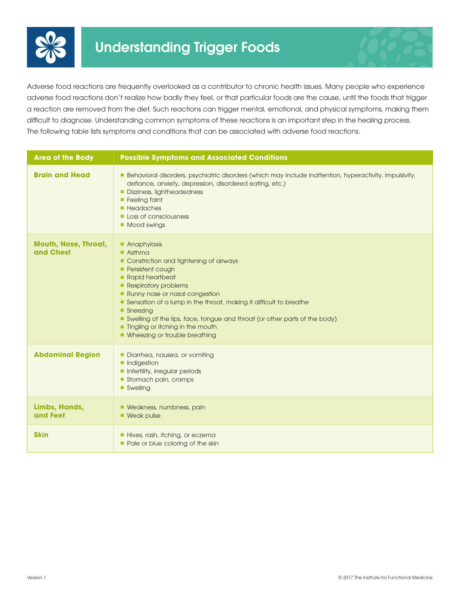

Adverse food reactions are frequently overlooked as a contributor to chronic health issues. Many people who experience adverse food reactions don't realize how badly they feel, or that particular foods are the cause, until the foods that trigger a reaction are removed from the diet. Such reactions can trigger mental, emotional, and physical symptoms, making them difficult to diagnose. Understanding common symptoms of these reactions is an important step in the healing process. The following table lists symptoms and conditions that can be associated with adverse food reactions.

| <b>Area of the Body</b>                  | <b>Possible Symptoms and Associated Conditions</b>                                                                                                                                                                                                                                                                                                                                                                       |
|------------------------------------------|--------------------------------------------------------------------------------------------------------------------------------------------------------------------------------------------------------------------------------------------------------------------------------------------------------------------------------------------------------------------------------------------------------------------------|
| <b>Brain and Head</b>                    | Behavioral disorders, psychiatric disorders (which may include inattention, hyperactivity, impulsivity,<br>defiance, anxiety, depression, disordered eating, etc.)<br>Dizziness, lightheadedness<br>Feeling faint<br><b>Headaches</b><br>Loss of consciousness<br>Mood swings                                                                                                                                            |
| <b>Mouth, Nose, Throat,</b><br>and Chest | <b>Anaphylaxis</b><br>$A$ sthma<br>Constriction and tightening of airways<br><b>Persistent cough</b><br>Rapid heartbeat<br>Respiratory problems<br>Runny nose or nasal congestion<br>Sensation of a lump in the throat, making it difficult to breathe<br>■ Sneezing<br>Swelling of the lips, face, tongue and throat (or other parts of the body)<br>Ingling or itching in the mouth<br>• Wheezing or trouble breathing |
| <b>Abdominal Region</b>                  | Diarrhea, nausea, or vomiting<br><b>Indigestion</b><br>Infertility, irregular periods<br>Stomach pain, cramps<br>■ Swelling                                                                                                                                                                                                                                                                                              |
| Limbs, Hands,<br>and Feet                | <b>Neakness, numbness, pain</b><br><b>Neak pulse</b>                                                                                                                                                                                                                                                                                                                                                                     |
| <b>Skin</b>                              | Hives, rash, itching, or eczema<br>Pale or blue coloring of the skin                                                                                                                                                                                                                                                                                                                                                     |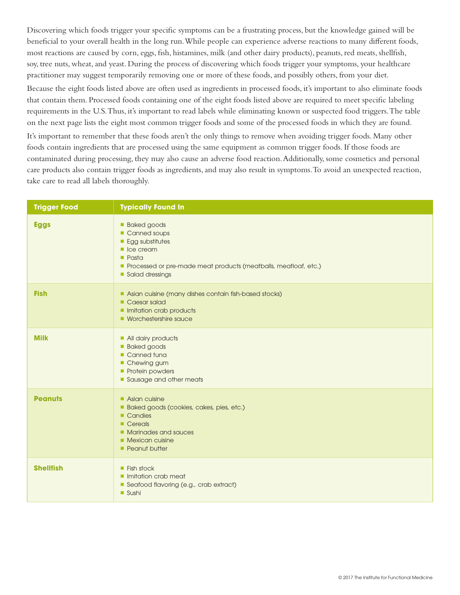Discovering which foods trigger your specific symptoms can be a frustrating process, but the knowledge gained will be beneficial to your overall health in the long run. While people can experience adverse reactions to many different foods, most reactions are caused by corn, eggs, fish, histamines, milk (and other dairy products), peanuts, red meats, shellfish, soy, tree nuts, wheat, and yeast. During the process of discovering which foods trigger your symptoms, your healthcare practitioner may suggest temporarily removing one or more of these foods, and possibly others, from your diet.

Because the eight foods listed above are often used as ingredients in processed foods, it's important to also eliminate foods that contain them. Processed foods containing one of the eight foods listed above are required to meet specific labeling requirements in the U.S. Thus, it's important to read labels while eliminating known or suspected food triggers. The table on the next page lists the eight most common trigger foods and some of the processed foods in which they are found.

It's important to remember that these foods aren't the only things to remove when avoiding trigger foods. Many other foods contain ingredients that are processed using the same equipment as common trigger foods. If those foods are contaminated during processing, they may also cause an adverse food reaction. Additionally, some cosmetics and personal care products also contain trigger foods as ingredients, and may also result in symptoms. To avoid an unexpected reaction, take care to read all labels thoroughly.

| <b>Trigger Food</b> | <b>Typically Found In</b>                                                                                                                                                                              |
|---------------------|--------------------------------------------------------------------------------------------------------------------------------------------------------------------------------------------------------|
| <b>Eggs</b>         | <b>Baked goods</b><br>Canned soups<br><b>Egg substitutes</b><br>$\blacksquare$ Ice cream<br>$\blacksquare$ Pasta<br>Processed or pre-made meat products (meatballs, meatloaf, etc.)<br>Salad dressings |
| <b>Fish</b>         | Asian cuisine (many dishes contain fish-based stocks)<br>Caesar salad<br>Initation crab products<br>• Worchestershire squce                                                                            |
| <b>Milk</b>         | All dairy products<br><b>Baked goods</b><br>Canned tuna<br>Chewing gum<br>Protein powders<br>Sausage and other meats                                                                                   |
| <b>Peanuts</b>      | Asian cuisine<br>Baked goods (cookies, cakes, pies, etc.)<br>Candies<br>$\blacksquare$ Cereals<br>• Marinades and sauces<br>$\blacksquare$ Mexican cuisine<br><b>Peanut butter</b>                     |
| <b>Shellfish</b>    | $\blacksquare$ Fish stock<br>Initation crab meat<br>Seafood flavoring (e.g., crab extract)<br><b>Sushi</b>                                                                                             |